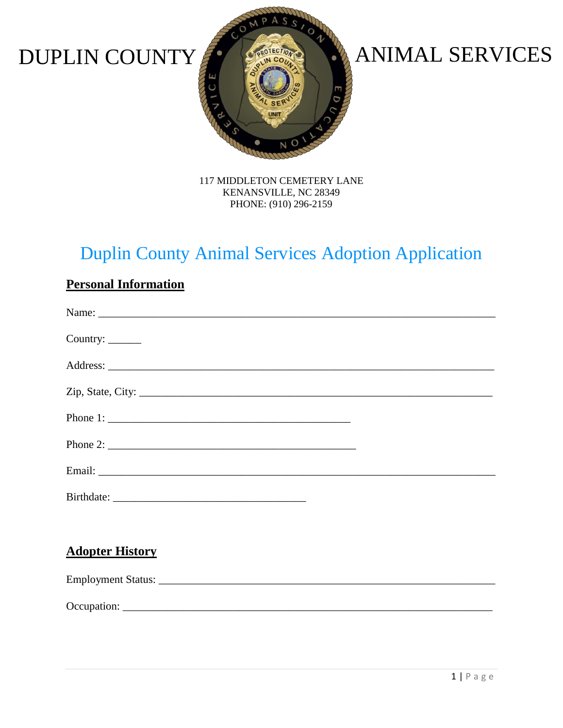

# DUPLIN COUNTY **ANIMAL SERVICES**

117 MIDDLETON CEMETERY LANE KENANSVILLE, NC 28349 PHONE: (910) 296-2159

## Duplin County Animal Services Adoption Application

| Country: ______                                                                                                                                                                                                                |  |
|--------------------------------------------------------------------------------------------------------------------------------------------------------------------------------------------------------------------------------|--|
|                                                                                                                                                                                                                                |  |
| Zip, State, City: 2008. Exp. 2008. The City: 2008. The City: 2008. The City: 2008. The City: 2008. The City: 2008. The City: 2008. The City: 2008. The City: 2008. The City: 2008. The City: 2008. The City: 2008. The City: 2 |  |
| Phone 1: $\frac{1}{1}$                                                                                                                                                                                                         |  |
|                                                                                                                                                                                                                                |  |
|                                                                                                                                                                                                                                |  |
|                                                                                                                                                                                                                                |  |
|                                                                                                                                                                                                                                |  |
| <b>Adopter History</b>                                                                                                                                                                                                         |  |
|                                                                                                                                                                                                                                |  |
|                                                                                                                                                                                                                                |  |

#### **Personal Information**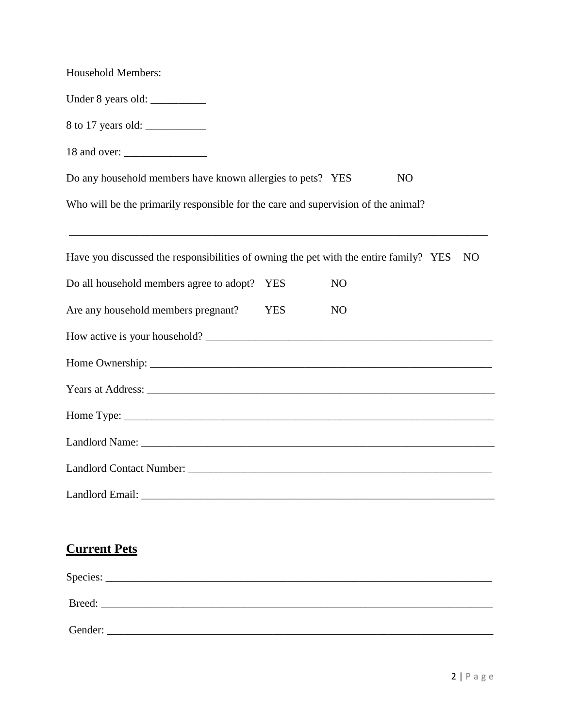| <b>Household Members:</b>                                                                                                                                                                                     |            |                |                |                |
|---------------------------------------------------------------------------------------------------------------------------------------------------------------------------------------------------------------|------------|----------------|----------------|----------------|
| Under 8 years old:                                                                                                                                                                                            |            |                |                |                |
| 8 to 17 years old:                                                                                                                                                                                            |            |                |                |                |
|                                                                                                                                                                                                               |            |                |                |                |
| Do any household members have known allergies to pets? YES                                                                                                                                                    |            |                | N <sub>O</sub> |                |
| Who will be the primarily responsible for the care and supervision of the animal?                                                                                                                             |            |                |                |                |
| <u> 2000 - Jan James James James James James James James James James James James James James James James James J</u><br>Have you discussed the responsibilities of owning the pet with the entire family? YES |            |                |                | N <sub>O</sub> |
| Do all household members agree to adopt? YES                                                                                                                                                                  |            | N <sub>O</sub> |                |                |
| Are any household members pregnant?                                                                                                                                                                           | <b>YES</b> | N <sub>O</sub> |                |                |
|                                                                                                                                                                                                               |            |                |                |                |
|                                                                                                                                                                                                               |            |                |                |                |
|                                                                                                                                                                                                               |            |                |                |                |
|                                                                                                                                                                                                               |            |                |                |                |
|                                                                                                                                                                                                               |            |                |                |                |
|                                                                                                                                                                                                               |            |                |                |                |
|                                                                                                                                                                                                               |            |                |                |                |
|                                                                                                                                                                                                               |            |                |                |                |
| <b>Current Pets</b>                                                                                                                                                                                           |            |                |                |                |
|                                                                                                                                                                                                               |            |                |                |                |
|                                                                                                                                                                                                               |            |                |                |                |
| Gender:                                                                                                                                                                                                       |            |                |                |                |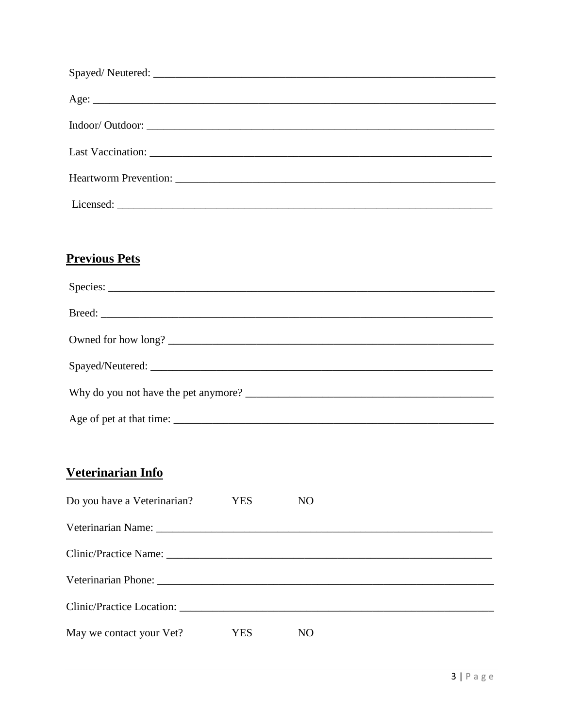#### **Previous Pets**

| Owned for how long? |
|---------------------|
|                     |
|                     |
|                     |

#### Veterinarian Info

| Do you have a Veterinarian? | YES  | NO. |
|-----------------------------|------|-----|
|                             |      |     |
|                             |      |     |
|                             |      |     |
|                             |      |     |
| May we contact your Vet?    | YES. | NO  |